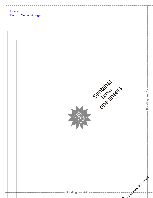| Home | <b>Back to Santahat page</b>                       |                          |
|------|----------------------------------------------------|--------------------------|
|      |                                                    |                          |
|      | <b>Sariage dets</b><br>J. Sein                     | Bonding line Aa          |
|      | ------------- Bonding line AA -------------------- | at a grownship times and |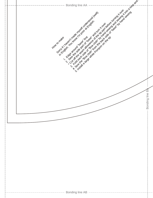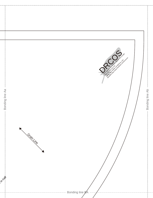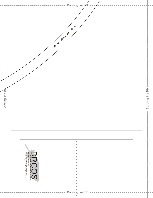|                                    | - Bonding line Bb     |                                                                                                                                                                                                |
|------------------------------------|-----------------------|------------------------------------------------------------------------------------------------------------------------------------------------------------------------------------------------|
|                                    |                       |                                                                                                                                                                                                |
|                                    |                       |                                                                                                                                                                                                |
|                                    |                       |                                                                                                                                                                                                |
|                                    |                       | -- Bonding line BB ----------------                                                                                                                                                            |
| ---------- Bonding line <b>B</b> A | Seam allowance 1/2in. | ------                                                                                                                                                                                         |
|                                    |                       |                                                                                                                                                                                                |
|                                    |                       | SITE http://dr-oes.info(en). http://dr-cos.com(jp)<br>MALL info@dr-cos.com<br>Twitter https://www.facebook.com/drcoscom<br>facebook https://www.facebook.com/drcoscom<br>http://dr-cos.com(jp) |
|                                    | - Bonding line Ba     |                                                                                                                                                                                                |
|                                    |                       |                                                                                                                                                                                                |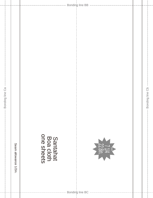Bonding line Cb --Bonding line Ca -Santahat<br>Boa cloth<br>one sheets Seam allowance 1/2in. ------------- Bonding line BC --------------